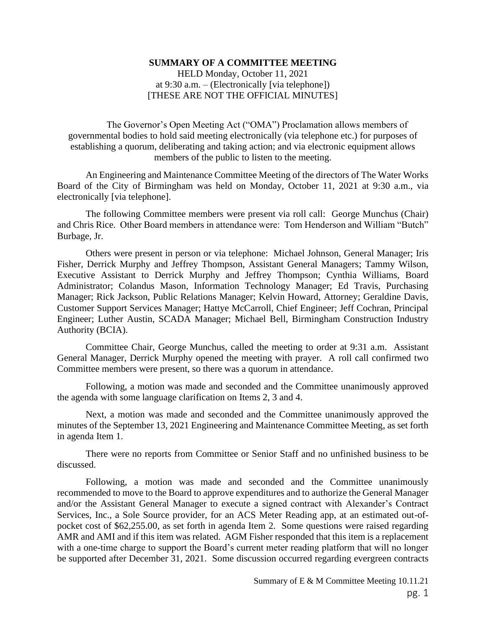## **SUMMARY OF A COMMITTEE MEETING**

HELD Monday, October 11, 2021 at 9:30 a.m. – (Electronically [via telephone]) [THESE ARE NOT THE OFFICIAL MINUTES]

The Governor's Open Meeting Act ("OMA") Proclamation allows members of governmental bodies to hold said meeting electronically (via telephone etc.) for purposes of establishing a quorum, deliberating and taking action; and via electronic equipment allows members of the public to listen to the meeting.

An Engineering and Maintenance Committee Meeting of the directors of The Water Works Board of the City of Birmingham was held on Monday, October 11, 2021 at 9:30 a.m., via electronically [via telephone].

The following Committee members were present via roll call: George Munchus (Chair) and Chris Rice. Other Board members in attendance were: Tom Henderson and William "Butch" Burbage, Jr.

Others were present in person or via telephone: Michael Johnson, General Manager; Iris Fisher, Derrick Murphy and Jeffrey Thompson, Assistant General Managers; Tammy Wilson, Executive Assistant to Derrick Murphy and Jeffrey Thompson; Cynthia Williams, Board Administrator; Colandus Mason, Information Technology Manager; Ed Travis, Purchasing Manager; Rick Jackson, Public Relations Manager; Kelvin Howard, Attorney; Geraldine Davis, Customer Support Services Manager; Hattye McCarroll, Chief Engineer; Jeff Cochran, Principal Engineer; Luther Austin, SCADA Manager; Michael Bell, Birmingham Construction Industry Authority (BCIA).

Committee Chair, George Munchus, called the meeting to order at 9:31 a.m. Assistant General Manager, Derrick Murphy opened the meeting with prayer. A roll call confirmed two Committee members were present, so there was a quorum in attendance.

Following, a motion was made and seconded and the Committee unanimously approved the agenda with some language clarification on Items 2, 3 and 4.

Next, a motion was made and seconded and the Committee unanimously approved the minutes of the September 13, 2021 Engineering and Maintenance Committee Meeting, as set forth in agenda Item 1.

There were no reports from Committee or Senior Staff and no unfinished business to be discussed.

Following, a motion was made and seconded and the Committee unanimously recommended to move to the Board to approve expenditures and to authorize the General Manager and/or the Assistant General Manager to execute a signed contract with Alexander's Contract Services, Inc., a Sole Source provider, for an ACS Meter Reading app, at an estimated out-ofpocket cost of \$62,255.00, as set forth in agenda Item 2. Some questions were raised regarding AMR and AMI and if this item was related. AGM Fisher responded that this item is a replacement with a one-time charge to support the Board's current meter reading platform that will no longer be supported after December 31, 2021. Some discussion occurred regarding evergreen contracts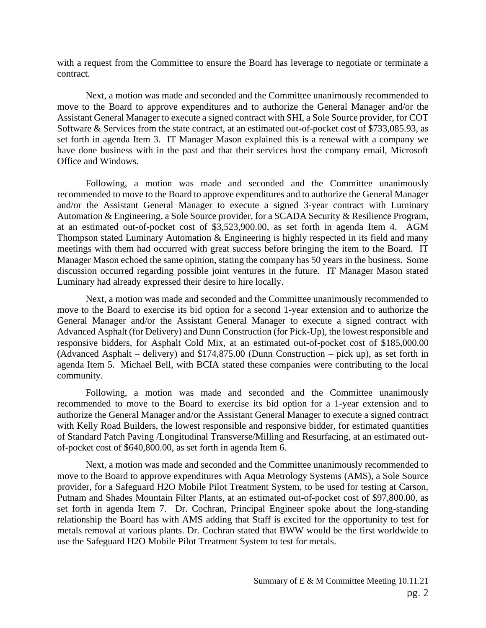with a request from the Committee to ensure the Board has leverage to negotiate or terminate a contract.

Next, a motion was made and seconded and the Committee unanimously recommended to move to the Board to approve expenditures and to authorize the General Manager and/or the Assistant General Manager to execute a signed contract with SHI, a Sole Source provider, for COT Software & Services from the state contract, at an estimated out-of-pocket cost of \$733,085.93, as set forth in agenda Item 3. IT Manager Mason explained this is a renewal with a company we have done business with in the past and that their services host the company email, Microsoft Office and Windows.

Following, a motion was made and seconded and the Committee unanimously recommended to move to the Board to approve expenditures and to authorize the General Manager and/or the Assistant General Manager to execute a signed 3-year contract with Luminary Automation & Engineering, a Sole Source provider, for a SCADA Security & Resilience Program, at an estimated out-of-pocket cost of \$3,523,900.00, as set forth in agenda Item 4. AGM Thompson stated Luminary Automation & Engineering is highly respected in its field and many meetings with them had occurred with great success before bringing the item to the Board. IT Manager Mason echoed the same opinion, stating the company has 50 years in the business. Some discussion occurred regarding possible joint ventures in the future. IT Manager Mason stated Luminary had already expressed their desire to hire locally.

Next, a motion was made and seconded and the Committee unanimously recommended to move to the Board to exercise its bid option for a second 1-year extension and to authorize the General Manager and/or the Assistant General Manager to execute a signed contract with Advanced Asphalt (for Delivery) and Dunn Construction (for Pick-Up), the lowest responsible and responsive bidders, for Asphalt Cold Mix, at an estimated out-of-pocket cost of \$185,000.00 (Advanced Asphalt – delivery) and \$174,875.00 (Dunn Construction – pick up), as set forth in agenda Item 5. Michael Bell, with BCIA stated these companies were contributing to the local community.

Following, a motion was made and seconded and the Committee unanimously recommended to move to the Board to exercise its bid option for a 1-year extension and to authorize the General Manager and/or the Assistant General Manager to execute a signed contract with Kelly Road Builders, the lowest responsible and responsive bidder, for estimated quantities of Standard Patch Paving /Longitudinal Transverse/Milling and Resurfacing, at an estimated outof-pocket cost of \$640,800.00, as set forth in agenda Item 6.

Next, a motion was made and seconded and the Committee unanimously recommended to move to the Board to approve expenditures with Aqua Metrology Systems (AMS), a Sole Source provider, for a Safeguard H2O Mobile Pilot Treatment System, to be used for testing at Carson, Putnam and Shades Mountain Filter Plants, at an estimated out-of-pocket cost of \$97,800.00, as set forth in agenda Item 7. Dr. Cochran, Principal Engineer spoke about the long-standing relationship the Board has with AMS adding that Staff is excited for the opportunity to test for metals removal at various plants. Dr. Cochran stated that BWW would be the first worldwide to use the Safeguard H2O Mobile Pilot Treatment System to test for metals.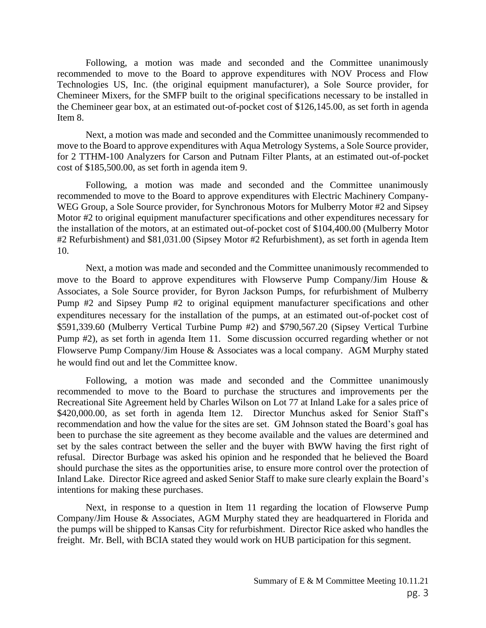Following, a motion was made and seconded and the Committee unanimously recommended to move to the Board to approve expenditures with NOV Process and Flow Technologies US, Inc. (the original equipment manufacturer), a Sole Source provider, for Chemineer Mixers, for the SMFP built to the original specifications necessary to be installed in the Chemineer gear box, at an estimated out-of-pocket cost of \$126,145.00, as set forth in agenda Item 8.

Next, a motion was made and seconded and the Committee unanimously recommended to move to the Board to approve expenditures with Aqua Metrology Systems, a Sole Source provider, for 2 TTHM-100 Analyzers for Carson and Putnam Filter Plants, at an estimated out-of-pocket cost of \$185,500.00, as set forth in agenda item 9.

Following, a motion was made and seconded and the Committee unanimously recommended to move to the Board to approve expenditures with Electric Machinery Company-WEG Group, a Sole Source provider, for Synchronous Motors for Mulberry Motor #2 and Sipsey Motor #2 to original equipment manufacturer specifications and other expenditures necessary for the installation of the motors, at an estimated out-of-pocket cost of \$104,400.00 (Mulberry Motor #2 Refurbishment) and \$81,031.00 (Sipsey Motor #2 Refurbishment), as set forth in agenda Item 10.

Next, a motion was made and seconded and the Committee unanimously recommended to move to the Board to approve expenditures with Flowserve Pump Company/Jim House & Associates, a Sole Source provider, for Byron Jackson Pumps, for refurbishment of Mulberry Pump #2 and Sipsey Pump #2 to original equipment manufacturer specifications and other expenditures necessary for the installation of the pumps, at an estimated out-of-pocket cost of \$591,339.60 (Mulberry Vertical Turbine Pump #2) and \$790,567.20 (Sipsey Vertical Turbine Pump #2), as set forth in agenda Item 11. Some discussion occurred regarding whether or not Flowserve Pump Company/Jim House & Associates was a local company. AGM Murphy stated he would find out and let the Committee know.

Following, a motion was made and seconded and the Committee unanimously recommended to move to the Board to purchase the structures and improvements per the Recreational Site Agreement held by Charles Wilson on Lot 77 at Inland Lake for a sales price of \$420,000.00, as set forth in agenda Item 12. Director Munchus asked for Senior Staff's recommendation and how the value for the sites are set. GM Johnson stated the Board's goal has been to purchase the site agreement as they become available and the values are determined and set by the sales contract between the seller and the buyer with BWW having the first right of refusal. Director Burbage was asked his opinion and he responded that he believed the Board should purchase the sites as the opportunities arise, to ensure more control over the protection of Inland Lake. Director Rice agreed and asked Senior Staff to make sure clearly explain the Board's intentions for making these purchases.

Next, in response to a question in Item 11 regarding the location of Flowserve Pump Company/Jim House & Associates, AGM Murphy stated they are headquartered in Florida and the pumps will be shipped to Kansas City for refurbishment. Director Rice asked who handles the freight. Mr. Bell, with BCIA stated they would work on HUB participation for this segment.